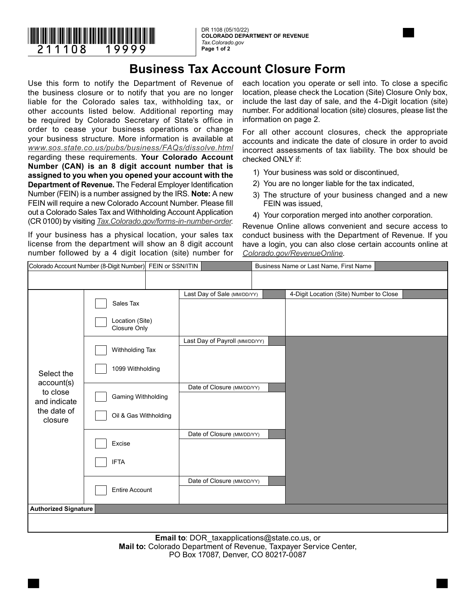

**COLORADO DEPARTMENT OF REVENUE** *Tax.Colorado.gov*  **Page 1 of 2**



Use this form to notify the Department of Revenue of the business closure or to notify that you are no longer liable for the Colorado sales tax, withholding tax, or other accounts listed below. Additional reporting may be required by Colorado Secretary of State's office in order to cease your business operations or change your business structure. More information is available at *www.sos.state.co.us/pubs/business/FAQs/dissolve.html* regarding these requirements. **Your Colorado Account Number (CAN) is an 8 digit account number that is assigned to you when you opened your account with the Department of Revenue.** The Federal Employer Identification Number (FEIN) is a number assigned by the IRS. **Note:** A new FEIN will require a new Colorado Account Number. Please fill out a Colorado Sales Tax and Withholding Account Application (CR 0100) by visiting *Tax.Colorado.gov/forms-in-number-order*.

If your business has a physical location, your sales tax license from the department will show an 8 digit account number followed by a 4 digit location (site) number for each location you operate or sell into. To close a specific location, please check the Location (Site) Closure Only box, include the last day of sale, and the 4-Digit location (site) number. For additional location (site) closures, please list the information on page 2.

For all other account closures, check the appropriate accounts and indicate the date of closure in order to avoid incorrect assessments of tax liability. The box should be checked ONLY if:

- 1) Your business was sold or discontinued,
- 2) You are no longer liable for the tax indicated,
- 3) The structure of your business changed and a new FEIN was issued,
- 4) Your corporation merged into another corporation.

Revenue Online allows convenient and secure access to conduct business with the Department of Revenue. If you have a login, you can also close certain accounts online at *Colorado.gov/RevenueOnline*.

| Colorado Account Number (8-Digit Number) FEIN or SSN/ITIN                      |                       |  |                                | Business Name or Last Name, First Name |                                         |  |  |  |
|--------------------------------------------------------------------------------|-----------------------|--|--------------------------------|----------------------------------------|-----------------------------------------|--|--|--|
|                                                                                |                       |  |                                |                                        |                                         |  |  |  |
|                                                                                |                       |  |                                |                                        |                                         |  |  |  |
| Select the<br>account(s)<br>to close<br>and indicate<br>the date of<br>closure |                       |  | Last Day of Sale (MM/DD/YY)    |                                        | 4-Digit Location (Site) Number to Close |  |  |  |
|                                                                                | Sales Tax             |  |                                |                                        |                                         |  |  |  |
|                                                                                | Location (Site)       |  |                                |                                        |                                         |  |  |  |
|                                                                                | Closure Only          |  |                                |                                        |                                         |  |  |  |
|                                                                                |                       |  | Last Day of Payroll (MM/DD/YY) |                                        |                                         |  |  |  |
|                                                                                | Withholding Tax       |  |                                |                                        |                                         |  |  |  |
|                                                                                | 1099 Withholding      |  |                                |                                        |                                         |  |  |  |
|                                                                                |                       |  |                                |                                        |                                         |  |  |  |
|                                                                                |                       |  | Date of Closure (MM/DD/YY)     |                                        |                                         |  |  |  |
|                                                                                | Gaming Withholding    |  |                                |                                        |                                         |  |  |  |
|                                                                                |                       |  |                                |                                        |                                         |  |  |  |
|                                                                                | Oil & Gas Withholding |  |                                |                                        |                                         |  |  |  |
|                                                                                |                       |  | Date of Closure (MM/DD/YY)     |                                        |                                         |  |  |  |
|                                                                                | Excise                |  |                                |                                        |                                         |  |  |  |
|                                                                                |                       |  |                                |                                        |                                         |  |  |  |
|                                                                                | <b>IFTA</b>           |  |                                |                                        |                                         |  |  |  |
|                                                                                |                       |  | Date of Closure (MM/DD/YY)     |                                        |                                         |  |  |  |
|                                                                                | Entire Account        |  |                                |                                        |                                         |  |  |  |
|                                                                                |                       |  |                                |                                        |                                         |  |  |  |
| <b>Authorized Signature</b>                                                    |                       |  |                                |                                        |                                         |  |  |  |
|                                                                                |                       |  |                                |                                        |                                         |  |  |  |
|                                                                                |                       |  |                                |                                        |                                         |  |  |  |

**Email to**: DOR\_taxapplications@state.co.us, or **Mail to:** Colorado Department of Revenue, Taxpayer Service Center, PO Box 17087, Denver, CO 80217-0087